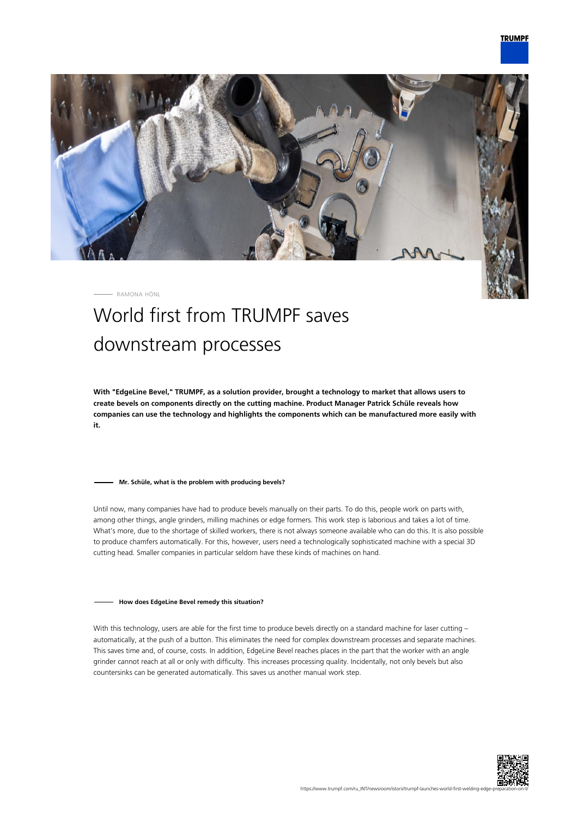

RAMONA HÖNL

# World first from TRUMPF saves downstream processes

**With "EdgeLine Bevel," TRUMPF, as a solution provider, brought a technology to market that allows users to create bevels on components directly on the cutting machine. Product Manager Patrick Schüle reveals how companies can use the technology and highlights the components which can be manufactured more easily with it.**

### **Mr. Schüle, what is the problem with producing bevels?**

Until now, many companies have had to produce bevels manually on their parts. To do this, people work on parts with, among other things, angle grinders, milling machines or edge formers. This work step is laborious and takes a lot of time. What's more, due to the shortage of skilled workers, there is not always someone available who can do this. It is also possible to produce chamfers automatically. For this, however, users need a technologically sophisticated machine with a special 3D cutting head. Smaller companies in particular seldom have these kinds of machines on hand.

#### **How does EdgeLine Bevel remedy this situation?**

With this technology, users are able for the first time to produce bevels directly on a standard machine for laser cutting automatically, at the push of a button. This eliminates the need for complex downstream processes and separate machines. This saves time and, of course, costs. In addition, EdgeLine Bevel reaches places in the part that the worker with an angle grinder cannot reach at all or only with difficulty. This increases processing quality. Incidentally, not only bevels but also countersinks can be generated automatically. This saves us another manual work step.

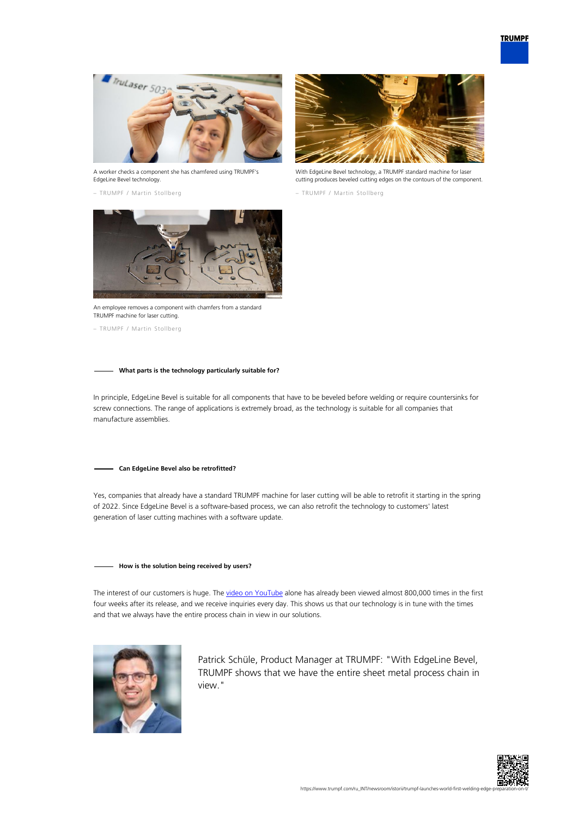

A worker checks a component she has chamfered using TRUMPF's EdgeLine Bevel technology.

– TRUMPF / Martin Stollberg



With EdgeLine Bevel technology, a TRUMPF standard machine for laser cutting produces beveled cutting edges on the contours of the component.

– TRUMPF / Martin Stollberg



An employee removes a component with chamfers from a standard TRUMPF machine for laser cutting.

– TRUMPF / Martin Stollberg

## **What parts is the technology particularly suitable for?**

In principle, EdgeLine Bevel is suitable for all components that have to be beveled before welding or require countersinks for screw connections. The range of applications is extremely broad, as the technology is suitable for all companies that manufacture assemblies.

#### **Can EdgeLine Bevel also be retrofitted?**

Yes, companies that already have a standard TRUMPF machine for laser cutting will be able to retrofit it starting in the spring of 2022. Since EdgeLine Bevel is a software-based process, we can also retrofit the technology to customers' latest generation of laser cutting machines with a software update.

## **How is the solution being received by users?**

The interest of our customers is huge. The [video on YouTube](https://www.youtube.com/watch?v=wjYai1xAQek) alone has already been viewed almost 800,000 times in the first four weeks after its release, and we receive inquiries every day. This shows us that our technology is in tune with the times and that we always have the entire process chain in view in our solutions.



Patrick Schüle, Product Manager at TRUMPF: "With EdgeLine Bevel, TRUMPF shows that we have the entire sheet metal process chain in view."